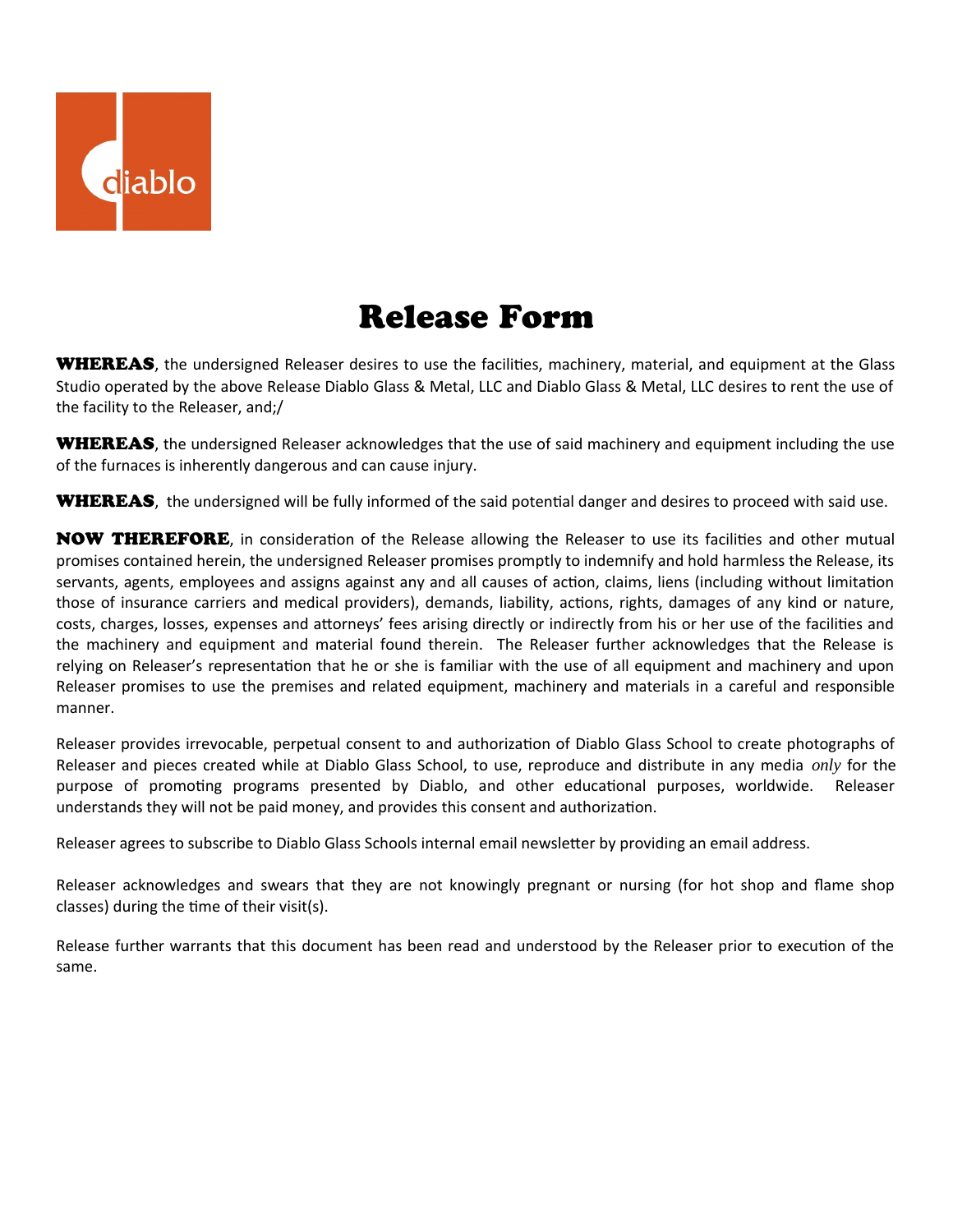

## Release Form

**WHEREAS**, the undersigned Releaser desires to use the facilities, machinery, material, and equipment at the Glass Studio operated by the above Release Diablo Glass & Metal, LLC and Diablo Glass & Metal, LLC desires to rent the use of the facility to the Releaser, and;/

WHEREAS, the undersigned Releaser acknowledges that the use of said machinery and equipment including the use of the furnaces is inherently dangerous and can cause injury.

WHEREAS, the undersigned will be fully informed of the said potential danger and desires to proceed with said use.

NOW THEREFORE, in consideration of the Release allowing the Releaser to use its facilities and other mutual promises contained herein, the undersigned Releaser promises promptly to indemnify and hold harmless the Release, its servants, agents, employees and assigns against any and all causes of action, claims, liens (including without limitation those of insurance carriers and medical providers), demands, liability, actions, rights, damages of any kind or nature, costs, charges, losses, expenses and attorneys' fees arising directly or indirectly from his or her use of the facilities and the machinery and equipment and material found therein. The Releaser further acknowledges that the Release is relying on Releaser's representation that he or she is familiar with the use of all equipment and machinery and upon Releaser promises to use the premises and related equipment, machinery and materials in a careful and responsible manner.

Releaser provides irrevocable, perpetual consent to and authorization of Diablo Glass School to create photographs of Releaser and pieces created while at Diablo Glass School, to use, reproduce and distribute in any media *only* for the purpose of promoting programs presented by Diablo, and other educational purposes, worldwide. Releaser understands they will not be paid money, and provides this consent and authorization.

Releaser agrees to subscribe to Diablo Glass Schools internal email newsletter by providing an email address.

Releaser acknowledges and swears that they are not knowingly pregnant or nursing (for hot shop and flame shop classes) during the time of their visit(s).

Release further warrants that this document has been read and understood by the Releaser prior to execution of the same.